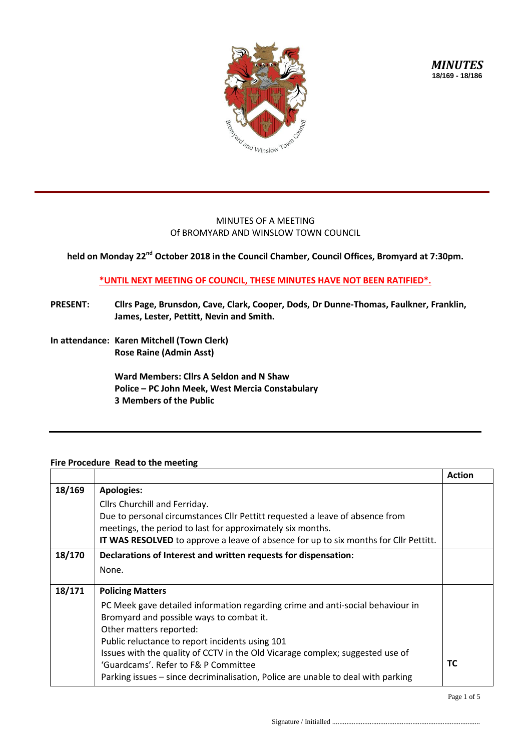

## MINUTES OF A MEETING Of BROMYARD AND WINSLOW TOWN COUNCIL

**held on Monday 22nd October 2018 in the Council Chamber, Council Offices, Bromyard at 7:30pm.**

**\*UNTIL NEXT MEETING OF COUNCIL, THESE MINUTES HAVE NOT BEEN RATIFIED\*.**

- **PRESENT: Cllrs Page, Brunsdon, Cave, Clark, Cooper, Dods, Dr Dunne-Thomas, Faulkner, Franklin, James, Lester, Pettitt, Nevin and Smith.**
- **In attendance: Karen Mitchell (Town Clerk) Rose Raine (Admin Asst)**

**Ward Members: Cllrs A Seldon and N Shaw Police – PC John Meek, West Mercia Constabulary 3 Members of the Public**

## **Fire Procedure Read to the meeting**

|        |                                                                                      | <b>Action</b> |
|--------|--------------------------------------------------------------------------------------|---------------|
| 18/169 | <b>Apologies:</b>                                                                    |               |
|        | Cllrs Churchill and Ferriday.                                                        |               |
|        | Due to personal circumstances Cllr Pettitt requested a leave of absence from         |               |
|        | meetings, the period to last for approximately six months.                           |               |
|        | IT WAS RESOLVED to approve a leave of absence for up to six months for Cllr Pettitt. |               |
| 18/170 | Declarations of Interest and written requests for dispensation:                      |               |
|        | None.                                                                                |               |
|        |                                                                                      |               |
| 18/171 | <b>Policing Matters</b>                                                              |               |
|        | PC Meek gave detailed information regarding crime and anti-social behaviour in       |               |
|        | Bromyard and possible ways to combat it.                                             |               |
|        | Other matters reported:                                                              |               |
|        | Public reluctance to report incidents using 101                                      |               |
|        | Issues with the quality of CCTV in the Old Vicarage complex; suggested use of        |               |
|        | 'Guardcams'. Refer to F& P Committee                                                 | <b>TC</b>     |
|        | Parking issues - since decriminalisation, Police are unable to deal with parking     |               |

Page 1 of 5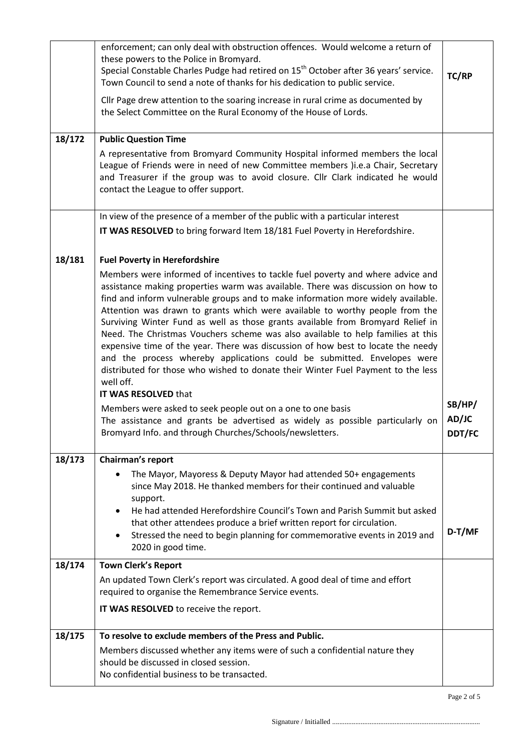|        | enforcement; can only deal with obstruction offences. Would welcome a return of<br>these powers to the Police in Bromyard.<br>Special Constable Charles Pudge had retired on 15 <sup>th</sup> October after 36 years' service.<br>Town Council to send a note of thanks for his dedication to public service.<br>Cllr Page drew attention to the soaring increase in rural crime as documented by<br>the Select Committee on the Rural Economy of the House of Lords.                                                                                                                                                                                                                                                                                                        | TC/RP                  |
|--------|------------------------------------------------------------------------------------------------------------------------------------------------------------------------------------------------------------------------------------------------------------------------------------------------------------------------------------------------------------------------------------------------------------------------------------------------------------------------------------------------------------------------------------------------------------------------------------------------------------------------------------------------------------------------------------------------------------------------------------------------------------------------------|------------------------|
| 18/172 | <b>Public Question Time</b><br>A representative from Bromyard Community Hospital informed members the local                                                                                                                                                                                                                                                                                                                                                                                                                                                                                                                                                                                                                                                                  |                        |
|        | League of Friends were in need of new Committee members )i.e.a Chair, Secretary<br>and Treasurer if the group was to avoid closure. Cllr Clark indicated he would<br>contact the League to offer support.                                                                                                                                                                                                                                                                                                                                                                                                                                                                                                                                                                    |                        |
|        | In view of the presence of a member of the public with a particular interest                                                                                                                                                                                                                                                                                                                                                                                                                                                                                                                                                                                                                                                                                                 |                        |
|        | IT WAS RESOLVED to bring forward Item 18/181 Fuel Poverty in Herefordshire.                                                                                                                                                                                                                                                                                                                                                                                                                                                                                                                                                                                                                                                                                                  |                        |
| 18/181 | <b>Fuel Poverty in Herefordshire</b>                                                                                                                                                                                                                                                                                                                                                                                                                                                                                                                                                                                                                                                                                                                                         |                        |
|        | Members were informed of incentives to tackle fuel poverty and where advice and<br>assistance making properties warm was available. There was discussion on how to<br>find and inform vulnerable groups and to make information more widely available.<br>Attention was drawn to grants which were available to worthy people from the<br>Surviving Winter Fund as well as those grants available from Bromyard Relief in<br>Need. The Christmas Vouchers scheme was also available to help families at this<br>expensive time of the year. There was discussion of how best to locate the needy<br>and the process whereby applications could be submitted. Envelopes were<br>distributed for those who wished to donate their Winter Fuel Payment to the less<br>well off. |                        |
|        | IT WAS RESOLVED that<br>Members were asked to seek people out on a one to one basis                                                                                                                                                                                                                                                                                                                                                                                                                                                                                                                                                                                                                                                                                          | SB/HP/                 |
|        | The assistance and grants be advertised as widely as possible particularly on<br>Bromyard Info. and through Churches/Schools/newsletters.                                                                                                                                                                                                                                                                                                                                                                                                                                                                                                                                                                                                                                    | AD/JC<br><b>DDT/FC</b> |
| 18/173 | Chairman's report                                                                                                                                                                                                                                                                                                                                                                                                                                                                                                                                                                                                                                                                                                                                                            |                        |
|        | The Mayor, Mayoress & Deputy Mayor had attended 50+ engagements<br>since May 2018. He thanked members for their continued and valuable<br>support.                                                                                                                                                                                                                                                                                                                                                                                                                                                                                                                                                                                                                           |                        |
|        | He had attended Herefordshire Council's Town and Parish Summit but asked<br>$\bullet$                                                                                                                                                                                                                                                                                                                                                                                                                                                                                                                                                                                                                                                                                        |                        |
|        | that other attendees produce a brief written report for circulation.<br>Stressed the need to begin planning for commemorative events in 2019 and<br>$\bullet$<br>2020 in good time.                                                                                                                                                                                                                                                                                                                                                                                                                                                                                                                                                                                          | D-T/MF                 |
| 18/174 | <b>Town Clerk's Report</b>                                                                                                                                                                                                                                                                                                                                                                                                                                                                                                                                                                                                                                                                                                                                                   |                        |
|        | An updated Town Clerk's report was circulated. A good deal of time and effort<br>required to organise the Remembrance Service events.                                                                                                                                                                                                                                                                                                                                                                                                                                                                                                                                                                                                                                        |                        |
|        | IT WAS RESOLVED to receive the report.                                                                                                                                                                                                                                                                                                                                                                                                                                                                                                                                                                                                                                                                                                                                       |                        |
| 18/175 | To resolve to exclude members of the Press and Public.                                                                                                                                                                                                                                                                                                                                                                                                                                                                                                                                                                                                                                                                                                                       |                        |
|        | Members discussed whether any items were of such a confidential nature they<br>should be discussed in closed session.<br>No confidential business to be transacted.                                                                                                                                                                                                                                                                                                                                                                                                                                                                                                                                                                                                          |                        |
|        |                                                                                                                                                                                                                                                                                                                                                                                                                                                                                                                                                                                                                                                                                                                                                                              |                        |

Page 2 of 5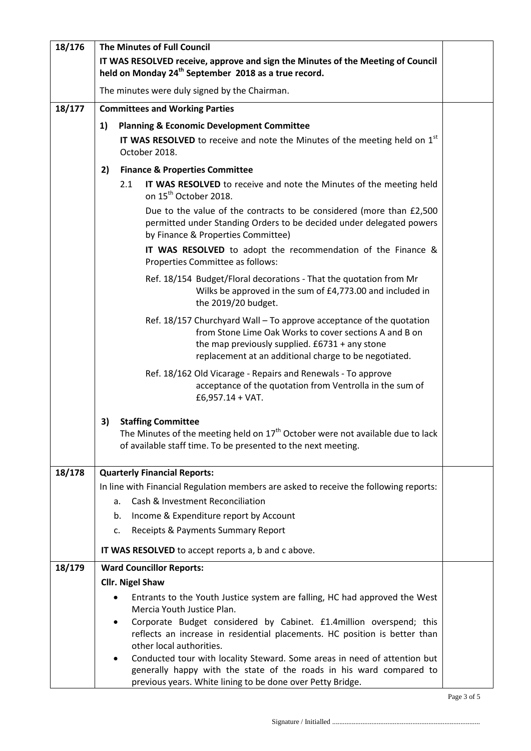| 18/176 | <b>The Minutes of Full Council</b>                                                                                                                  |                         |                                                                                                                                                                                                                                             |  |  |
|--------|-----------------------------------------------------------------------------------------------------------------------------------------------------|-------------------------|---------------------------------------------------------------------------------------------------------------------------------------------------------------------------------------------------------------------------------------------|--|--|
|        | IT WAS RESOLVED receive, approve and sign the Minutes of the Meeting of Council<br>held on Monday 24 <sup>th</sup> September 2018 as a true record. |                         |                                                                                                                                                                                                                                             |  |  |
|        | The minutes were duly signed by the Chairman.                                                                                                       |                         |                                                                                                                                                                                                                                             |  |  |
| 18/177 |                                                                                                                                                     |                         | <b>Committees and Working Parties</b>                                                                                                                                                                                                       |  |  |
|        | 1)                                                                                                                                                  |                         | <b>Planning &amp; Economic Development Committee</b>                                                                                                                                                                                        |  |  |
|        | IT WAS RESOLVED to receive and note the Minutes of the meeting held on 1st<br>October 2018.                                                         |                         |                                                                                                                                                                                                                                             |  |  |
|        | 2)                                                                                                                                                  |                         | <b>Finance &amp; Properties Committee</b>                                                                                                                                                                                                   |  |  |
|        |                                                                                                                                                     | 2.1                     | IT WAS RESOLVED to receive and note the Minutes of the meeting held<br>on 15 <sup>th</sup> October 2018.                                                                                                                                    |  |  |
|        |                                                                                                                                                     |                         | Due to the value of the contracts to be considered (more than £2,500<br>permitted under Standing Orders to be decided under delegated powers<br>by Finance & Properties Committee)                                                          |  |  |
|        |                                                                                                                                                     |                         | IT WAS RESOLVED to adopt the recommendation of the Finance &<br>Properties Committee as follows:                                                                                                                                            |  |  |
|        |                                                                                                                                                     |                         | Ref. 18/154 Budget/Floral decorations - That the quotation from Mr<br>Wilks be approved in the sum of £4,773.00 and included in<br>the 2019/20 budget.                                                                                      |  |  |
|        |                                                                                                                                                     |                         | Ref. 18/157 Churchyard Wall - To approve acceptance of the quotation<br>from Stone Lime Oak Works to cover sections A and B on<br>the map previously supplied. $£6731 + any stone$<br>replacement at an additional charge to be negotiated. |  |  |
|        |                                                                                                                                                     |                         | Ref. 18/162 Old Vicarage - Repairs and Renewals - To approve<br>acceptance of the quotation from Ventrolla in the sum of<br>$£6,957.14 + VAT.$                                                                                              |  |  |
|        | 3)                                                                                                                                                  |                         | <b>Staffing Committee</b><br>The Minutes of the meeting held on 17 <sup>th</sup> October were not available due to lack<br>of available staff time. To be presented to the next meeting.                                                    |  |  |
| 18/178 |                                                                                                                                                     |                         | <b>Quarterly Financial Reports:</b>                                                                                                                                                                                                         |  |  |
|        |                                                                                                                                                     |                         | In line with Financial Regulation members are asked to receive the following reports:                                                                                                                                                       |  |  |
|        |                                                                                                                                                     | a.                      | Cash & Investment Reconciliation                                                                                                                                                                                                            |  |  |
|        |                                                                                                                                                     | b.                      | Income & Expenditure report by Account                                                                                                                                                                                                      |  |  |
|        |                                                                                                                                                     | c.                      | Receipts & Payments Summary Report                                                                                                                                                                                                          |  |  |
|        |                                                                                                                                                     |                         | IT WAS RESOLVED to accept reports a, b and c above.                                                                                                                                                                                         |  |  |
| 18/179 |                                                                                                                                                     |                         | <b>Ward Councillor Reports:</b>                                                                                                                                                                                                             |  |  |
|        |                                                                                                                                                     | <b>Cllr. Nigel Shaw</b> |                                                                                                                                                                                                                                             |  |  |
|        |                                                                                                                                                     |                         | Entrants to the Youth Justice system are falling, HC had approved the West<br>Mercia Youth Justice Plan.                                                                                                                                    |  |  |
|        |                                                                                                                                                     | ٠                       | Corporate Budget considered by Cabinet. £1.4million overspend; this                                                                                                                                                                         |  |  |
|        |                                                                                                                                                     |                         | reflects an increase in residential placements. HC position is better than                                                                                                                                                                  |  |  |
|        |                                                                                                                                                     | ٠                       | other local authorities.<br>Conducted tour with locality Steward. Some areas in need of attention but                                                                                                                                       |  |  |
|        |                                                                                                                                                     |                         | generally happy with the state of the roads in his ward compared to<br>previous years. White lining to be done over Petty Bridge.                                                                                                           |  |  |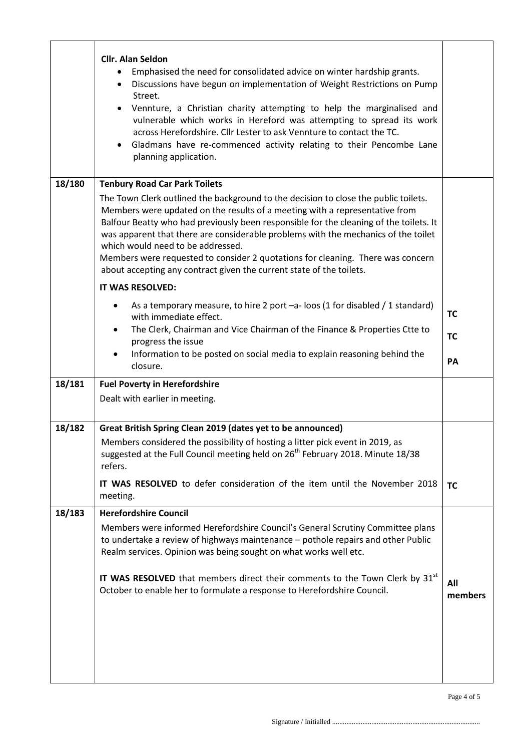|        | <b>Cllr. Alan Seldon</b><br>Emphasised the need for consolidated advice on winter hardship grants.<br>Discussions have begun on implementation of Weight Restrictions on Pump<br>$\bullet$<br>Street.<br>Vennture, a Christian charity attempting to help the marginalised and<br>$\bullet$<br>vulnerable which works in Hereford was attempting to spread its work<br>across Herefordshire. Cllr Lester to ask Vennture to contact the TC.<br>Gladmans have re-commenced activity relating to their Pencombe Lane<br>$\bullet$<br>planning application. |                |  |  |
|--------|----------------------------------------------------------------------------------------------------------------------------------------------------------------------------------------------------------------------------------------------------------------------------------------------------------------------------------------------------------------------------------------------------------------------------------------------------------------------------------------------------------------------------------------------------------|----------------|--|--|
| 18/180 | <b>Tenbury Road Car Park Toilets</b>                                                                                                                                                                                                                                                                                                                                                                                                                                                                                                                     |                |  |  |
|        | The Town Clerk outlined the background to the decision to close the public toilets.<br>Members were updated on the results of a meeting with a representative from<br>Balfour Beatty who had previously been responsible for the cleaning of the toilets. It<br>was apparent that there are considerable problems with the mechanics of the toilet<br>which would need to be addressed.<br>Members were requested to consider 2 quotations for cleaning. There was concern<br>about accepting any contract given the current state of the toilets.       |                |  |  |
|        | IT WAS RESOLVED:                                                                                                                                                                                                                                                                                                                                                                                                                                                                                                                                         |                |  |  |
|        | As a temporary measure, to hire 2 port -a- loos (1 for disabled / 1 standard)<br>$\bullet$<br>with immediate effect.                                                                                                                                                                                                                                                                                                                                                                                                                                     | <b>TC</b>      |  |  |
|        | The Clerk, Chairman and Vice Chairman of the Finance & Properties Ctte to<br>progress the issue                                                                                                                                                                                                                                                                                                                                                                                                                                                          | <b>TC</b>      |  |  |
|        | Information to be posted on social media to explain reasoning behind the<br>closure.                                                                                                                                                                                                                                                                                                                                                                                                                                                                     | PA             |  |  |
| 18/181 | <b>Fuel Poverty in Herefordshire</b>                                                                                                                                                                                                                                                                                                                                                                                                                                                                                                                     |                |  |  |
|        | Dealt with earlier in meeting.                                                                                                                                                                                                                                                                                                                                                                                                                                                                                                                           |                |  |  |
| 18/182 | Great British Spring Clean 2019 (dates yet to be announced)                                                                                                                                                                                                                                                                                                                                                                                                                                                                                              |                |  |  |
|        | Members considered the possibility of hosting a litter pick event in 2019, as<br>suggested at the Full Council meeting held on 26 <sup>th</sup> February 2018. Minute 18/38<br>refers.                                                                                                                                                                                                                                                                                                                                                                   |                |  |  |
|        | IT WAS RESOLVED to defer consideration of the item until the November 2018<br>meeting.                                                                                                                                                                                                                                                                                                                                                                                                                                                                   | <b>TC</b>      |  |  |
| 18/183 | <b>Herefordshire Council</b><br>Members were informed Herefordshire Council's General Scrutiny Committee plans<br>to undertake a review of highways maintenance - pothole repairs and other Public<br>Realm services. Opinion was being sought on what works well etc.<br>IT WAS RESOLVED that members direct their comments to the Town Clerk by 31 <sup>st</sup><br>October to enable her to formulate a response to Herefordshire Council.                                                                                                            | All<br>members |  |  |
|        |                                                                                                                                                                                                                                                                                                                                                                                                                                                                                                                                                          |                |  |  |

l.